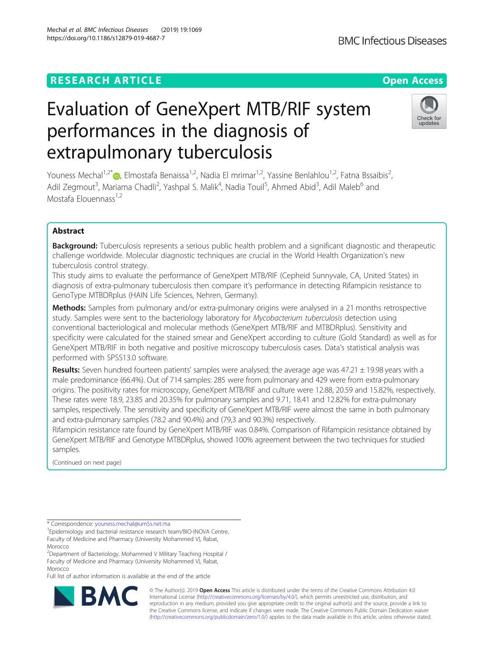# **RESEARCH ARTICLE Example 2014 12:30 The Contract of Contract ACCESS**

# Evaluation of GeneXpert MTB/RIF system performances in the diagnosis of extrapulmonary tuberculosis

Youness Mechal<sup>1,2[\\*](http://orcid.org/0000-0001-8147-6673)</sup>  $\bullet$ , Elmostafa Benaissa<sup>1,2</sup>, Nadia El mrimar<sup>1,2</sup>, Yassine Benlahlou<sup>1,2</sup>, Fatna Bssaibis<sup>2</sup>, , Adil Zegmout<sup>3</sup>, Mariama Chadli<sup>2</sup>, Yashpal S. Malik<sup>4</sup>, Nadia Touil<sup>5</sup>, Ahmed Abid<sup>3</sup>, Adil Maleb<sup>6</sup> and Mostafa Elouennass<sup>1,2</sup>

# Abstract

Background: Tuberculosis represents a serious public health problem and a significant diagnostic and therapeutic challenge worldwide. Molecular diagnostic techniques are crucial in the World Health Organization's new tuberculosis control strategy.

This study aims to evaluate the performance of GeneXpert MTB/RIF (Cepheid Sunnyvale, CA, United States) in diagnosis of extra-pulmonary tuberculosis then compare it's performance in detecting Rifampicin resistance to GenoType MTBDRplus (HAIN Life Sciences, Nehren, Germany).

Methods: Samples from pulmonary and/or extra-pulmonary origins were analysed in a 21 months retrospective study. Samples were sent to the bacteriology laboratory for Mycobacterium tuberculosis detection using conventional bacteriological and molecular methods (GeneXpert MTB/RIF and MTBDRplus). Sensitivity and specificity were calculated for the stained smear and GeneXpert according to culture (Gold Standard) as well as for GeneXpert MTB/RIF in both negative and positive microscopy tuberculosis cases. Data's statistical analysis was performed with SPSS13.0 software.

Results: Seven hundred fourteen patients' samples were analysed; the average age was 47.21 ± 19.98 years with a male predominance (66.4%). Out of 714 samples: 285 were from pulmonary and 429 were from extra-pulmonary origins. The positivity rates for microscopy, GeneXpert MTB/RIF and culture were 12.88, 20.59 and 15.82%, respectively. These rates were 18.9, 23.85 and 20.35% for pulmonary samples and 9.71, 18.41 and 12.82% for extra-pulmonary samples, respectively. The sensitivity and specificity of GeneXpert MTB/RIF were almost the same in both pulmonary and extra-pulmonary samples (78.2 and 90.4%) and (79,3 and 90.3%) respectively.

Rifampicin resistance rate found by GeneXpert MTB/RIF was 0.84%. Comparison of Rifampicin resistance obtained by GeneXpert MTB/RIF and Genotype MTBDRplus, showed 100% agreement between the two techniques for studied samples.

(Continued on next page)

\* Correspondence: [youness.mechal@um5s.net.ma](mailto:youness.mechal@um5s.net.ma) <sup>1</sup>

Full list of author information is available at the end of the article

© The Author(s). 2019 **Open Access** This article is distributed under the terms of the Creative Commons Attribution 4.0 International License [\(http://creativecommons.org/licenses/by/4.0/](http://creativecommons.org/licenses/by/4.0/)), which permits unrestricted use, distribution, and reproduction in any medium, provided you give appropriate credit to the original author(s) and the source, provide a link to the Creative Commons license, and indicate if changes were made. The Creative Commons Public Domain Dedication waiver [\(http://creativecommons.org/publicdomain/zero/1.0/](http://creativecommons.org/publicdomain/zero/1.0/)) applies to the data made available in this article, unless otherwise stated.

Mechal et al. BMC Infectious Diseases (2019) 19:1069 https://doi.org/10.1186/s12879-019-4687-7







Epidemiology and bacterial resistance research team/BIO-INOVA Centre, Faculty of Medicine and Pharmacy (University Mohammed V), Rabat, Morocco

<sup>&</sup>lt;sup>2</sup>Department of Bacteriology, Mohammed V Military Teaching Hospital / Faculty of Medicine and Pharmacy (University Mohammed V), Rabat, Morocco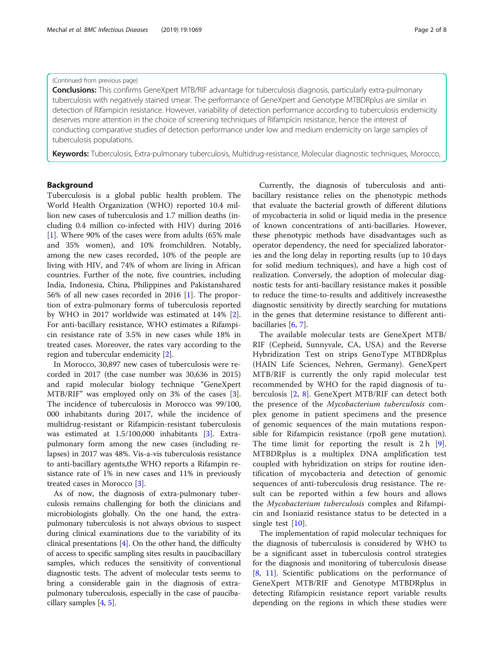#### (Continued from previous page)

Conclusions: This confirms GeneXpert MTB/RIF advantage for tuberculosis diagnosis, particularly extra-pulmonary tuberculosis with negatively stained smear. The performance of GeneXpert and Genotype MTBDRplus are similar in detection of Rifampicin resistance. However, variability of detection performance according to tuberculosis endemicity deserves more attention in the choice of screening techniques of Rifampicin resistance, hence the interest of conducting comparative studies of detection performance under low and medium endemicity on large samples of tuberculosis populations.

Keywords: Tuberculosis, Extra-pulmonary tuberculosis, Multidrug-resistance, Molecular diagnostic techniques, Morocco,

# Background

Tuberculosis is a global public health problem. The World Health Organization (WHO) reported 10.4 million new cases of tuberculosis and 1.7 million deaths (including 0.4 million co-infected with HIV) during 2016 [[1\]](#page-7-0). Where 90% of the cases were from adults (65% male and 35% women), and 10% fromchildren. Notably, among the new cases recorded, 10% of the people are living with HIV, and 74% of whom are living in African countries. Further of the note, five countries, including India, Indonesia, China, Philippines and Pakistanshared 56% of all new cases recorded in 2016 [[1\]](#page-7-0). The proportion of extra-pulmonary forms of tuberculosis reported by WHO in 2017 worldwide was estimated at 14% [\[2](#page-7-0)]. For anti-bacillary resistance, WHO estimates a Rifampicin resistance rate of 3.5% in new cases while 18% in treated cases. Moreover, the rates vary according to the region and tubercular endemicity [\[2](#page-7-0)].

In Morocco, 30,897 new cases of tuberculosis were recorded in 2017 (the case number was 30,636 in 2015) and rapid molecular biology technique "GeneXpert MTB/RIF" was employed only on 3% of the cases [\[3](#page-7-0)]. The incidence of tuberculosis in Morocco was 99/100, 000 inhabitants during 2017, while the incidence of multidrug-resistant or Rifampicin-resistant tuberculosis was estimated at 1.5/100,000 inhabitants [\[3](#page-7-0)]. Extrapulmonary form among the new cases (including relapses) in 2017 was 48%. Vis-a-vis tuberculosis resistance to anti-bacillary agents,the WHO reports a Rifampin resistance rate of 1% in new cases and 11% in previously treated cases in Morocco [[3\]](#page-7-0).

As of now, the diagnosis of extra-pulmonary tuberculosis remains challenging for both the clinicians and microbiologists globally. On the one hand, the extrapulmonary tuberculosis is not always obvious to suspect during clinical examinations due to the variability of its clinical presentations [\[4\]](#page-7-0). On the other hand, the difficulty of access to specific sampling sites results in paucibacillary samples, which reduces the sensitivity of conventional diagnostic tests. The advent of molecular tests seems to bring a considerable gain in the diagnosis of extrapulmonary tuberculosis, especially in the case of paucibacillary samples [[4](#page-7-0), [5\]](#page-7-0).

Currently, the diagnosis of tuberculosis and antibacillary resistance relies on the phenotypic methods that evaluate the bacterial growth of different dilutions of mycobacteria in solid or liquid media in the presence of known concentrations of anti-bacillaries. However, these phenotypic methods have disadvantages such as operator dependency, the need for specialized laboratories and the long delay in reporting results (up to 10 days for solid medium techniques), and have a high cost of realization. Conversely, the adoption of molecular diagnostic tests for anti-bacillary resistance makes it possible to reduce the time-to-results and additively increasesthe diagnostic sensitivity by directly searching for mutations in the genes that determine resistance to different antibacillaries [\[6](#page-7-0), [7](#page-7-0)].

The available molecular tests are GeneXpert MTB/ RIF (Cepheid, Sunnyvale, CA, USA) and the Reverse Hybridization Test on strips GenoType MTBDRplus (HAIN Life Sciences, Nehren, Germany). GeneXpert MTB/RIF is currently the only rapid molecular test recommended by WHO for the rapid diagnosis of tuberculosis [\[2](#page-7-0), [8\]](#page-7-0). GeneXpert MTB/RIF can detect both the presence of the Mycobacterium tuberculosis complex genome in patient specimens and the presence of genomic sequences of the main mutations responsible for Rifampicin resistance (rpoB gene mutation). The time limit for reporting the result is  $2 h$  [\[9](#page-7-0)]. MTBDRplus is a multiplex DNA amplification test coupled with hybridization on strips for routine identification of mycobacteria and detection of genomic sequences of anti-tuberculosis drug resistance. The result can be reported within a few hours and allows the Mycobacterium tuberculosis complex and Rifampicin and Isoniazid resistance status to be detected in a single test [[10\]](#page-7-0).

The implementation of rapid molecular techniques for the diagnosis of tuberculosis is considered by WHO to be a significant asset in tuberculosis control strategies for the diagnosis and monitoring of tuberculosis disease [[8,](#page-7-0) [11](#page-7-0)]. Scientific publications on the performance of GeneXpert MTB/RIF and Genotype MTBDRplus in detecting Rifampicin resistance report variable results depending on the regions in which these studies were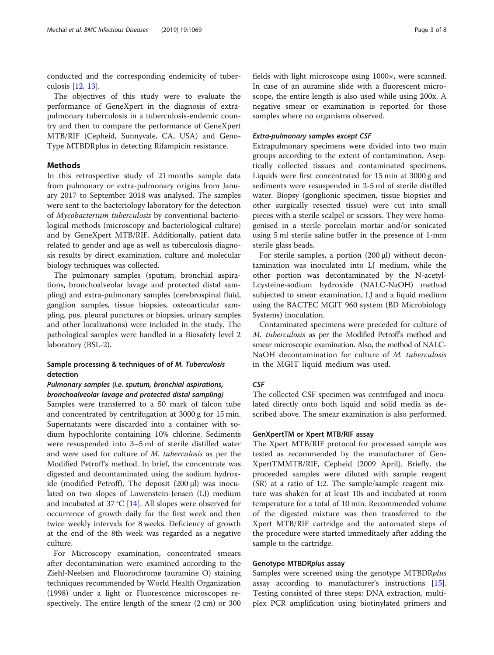conducted and the corresponding endemicity of tuberculosis [\[12](#page-7-0), [13](#page-7-0)].

The objectives of this study were to evaluate the performance of GeneXpert in the diagnosis of extrapulmonary tuberculosis in a tuberculosis-endemic country and then to compare the performance of GeneXpert MTB/RIF (Cepheid, Sunnyvale, CA, USA) and Geno-Type MTBDRplus in detecting Rifampicin resistance.

## Methods

In this retrospective study of 21 months sample data from pulmonary or extra-pulmonary origins from January 2017 to September 2018 was analysed. The samples were sent to the bacteriology laboratory for the detection of Mycobacterium tuberculosis by conventional bacteriological methods (microscopy and bacteriological culture) and by GeneXpert MTB/RIF. Additionally, patient data related to gender and age as well as tuberculosis diagnosis results by direct examination, culture and molecular biology techniques was collected.

The pulmonary samples (sputum, bronchial aspirations, bronchoalveolar lavage and protected distal sampling) and extra-pulmonary samples (cerebrospinal fluid, ganglion samples, tissue biopsies, osteoarticular sampling, pus, pleural punctures or biopsies, urinary samples and other localizations) were included in the study. The pathological samples were handled in a Biosafety level 2 laboratory (BSL-2).

# Sample processing & techniques of of M. Tuberculosis detection

# Pulmonary samples (i.e. sputum, bronchial aspirations, bronchoalveolar lavage and protected distal sampling)

Samples were transferred to a 50 mark of falcon tube and concentrated by centrifugation at 3000 g for 15 min. Supernatants were discarded into a container with sodium hypochlorite containing 10% chlorine. Sediments were resuspended into 3–5 ml of sterile distilled water and were used for culture of M. tuberculosis as per the Modified Petroff's method. In brief, the concentrate was digested and decontaminated using the sodium hydroxide (modified Petroff). The deposit (200 μl) was inoculated on two slopes of Lowenstein-Jensen (LJ) medium and incubated at 37 °C [[14\]](#page-7-0). All slopes were observed for occurrence of growth daily for the first week and then twice weekly intervals for 8 weeks. Deficiency of growth at the end of the 8th week was regarded as a negative culture.

For Microscopy examination, concentrated smears after decontamination were examined according to the Ziehl-Neelsen and Fluorochrome (auramine O) staining techniques recommended by World Health Organization (1998) under a light or Fluorescence microscopes respectively. The entire length of the smear (2 cm) or 300

fields with light microscope using 1000×, were scanned. In case of an auramine slide with a fluorescent microscope, the entire length is also used while using 200x. A negative smear or examination is reported for those samples where no organisms observed.

#### Extra-pulmonary samples except CSF

Extrapulmonary specimens were divided into two main groups according to the extent of contamination. Aseptically collected tissues and contaminated specimens. Liquids were first concentrated for 15 min at 3000 g and sediments were resuspended in 2-5 ml of sterile distilled water. Biopsy (gonglionic specimen, tissue biopsies and other surgically resected tissue) were cut into small pieces with a sterile scalpel or scissors. They were homogenised in a sterile porcelain mortar and/or sonicated using 5 ml sterile saline buffer in the presence of 1-mm sterile glass beads.

For sterile samples, a portion (200 μl) without decontamination was inoculated into LJ medium, while the other portion was decontaminated by the N-acetyl-Lcysteine-sodium hydroxide (NALC-NaOH) method subjected to smear examination, LJ and a liquid medium using the BACTEC MGIT 960 system (BD Microbiology Systems) inoculation.

Contaminated specimens were preceded for culture of M. tuberculosis as per the Modified Petroff's method and smear microscopic examination. Also, the method of NALC-NaOH decontamination for culture of M. tuberculosis in the MGIT liquid medium was used.

# **CSF**

The collected CSF specimen was centrifuged and inoculated directly onto both liquid and solid media as described above. The smear examination is also performed.

#### GenXpertTM or Xpert MTB/RIF assay

The Xpert MTB/RIF protocol for processed sample was tested as recommended by the manufacturer of Gen-XpertTMMTB/RIF, Cepheid (2009 April). Briefly, the proceeded samples were diluted with sample reagent (SR) at a ratio of 1:2. The sample/sample reagent mixture was shaken for at least 10s and incubated at room temperature for a total of 10 min. Recommended volume of the digested mixture was then transferred to the Xpert MTB/RIF cartridge and the automated steps of the procedure were started immeditaely after adding the sample to the cartridge.

#### Genotype MTBDRplus assay

Samples were screened using the genotype MTBDRplus assay according to manufacturer's instructions [\[15](#page-7-0)]. Testing consisted of three steps: DNA extraction, multiplex PCR amplification using biotinylated primers and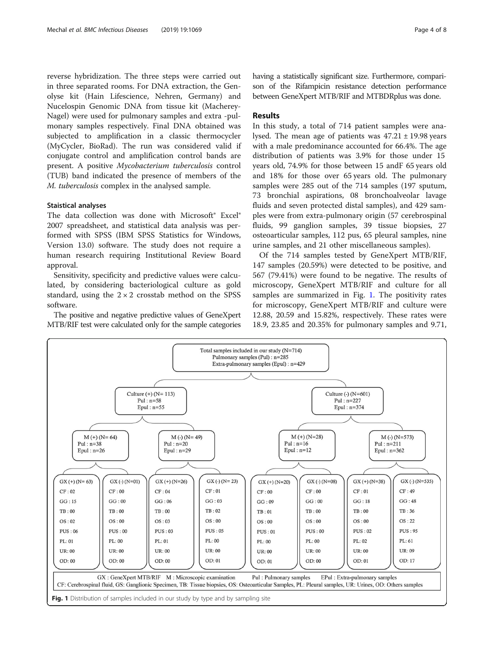<span id="page-3-0"></span>reverse hybridization. The three steps were carried out in three separated rooms. For DNA extraction, the Genolyse kit (Hain Lifescience, Nehren, Germany) and Nucelospin Genomic DNA from tissue kit (Macherey-Nagel) were used for pulmonary samples and extra -pulmonary samples respectively. Final DNA obtained was subjected to amplification in a classic thermocycler (MyCycler, BioRad). The run was considered valid if conjugate control and amplification control bands are present. A positive Mycobacterium tuberculosis control (TUB) band indicated the presence of members of the M. tuberculosis complex in the analysed sample.

#### Staistical analyses

The data collection was done with Microsoft® Excel® 2007 spreadsheet, and statistical data analysis was performed with SPSS (IBM SPSS Statistics for Windows, Version 13.0) software. The study does not require a human research requiring Institutional Review Board approval.

Sensitivity, specificity and predictive values were calculated, by considering bacteriological culture as gold standard, using the  $2 \times 2$  crosstab method on the SPSS software.

The positive and negative predictive values of GeneXpert MTB/RIF test were calculated only for the sample categories having a statistically significant size. Furthermore, comparison of the Rifampicin resistance detection performance between GeneXpert MTB/RIF and MTBDRplus was done.

# Results

In this study, a total of 714 patient samples were analysed. The mean age of patients was  $47.21 \pm 19.98$  years with a male predominance accounted for 66.4%. The age distribution of patients was 3.9% for those under 15 years old, 74.9% for those between 15 andF 65 years old and 18% for those over 65 years old. The pulmonary samples were 285 out of the 714 samples (197 sputum, 73 bronchial aspirations, 08 bronchoalveolar lavage fluids and seven protected distal samples), and 429 samples were from extra-pulmonary origin (57 cerebrospinal fluids, 99 ganglion samples, 39 tissue biopsies, 27 osteoarticular samples, 112 pus, 65 pleural samples, nine urine samples, and 21 other miscellaneous samples).

Of the 714 samples tested by GeneXpert MTB/RIF, 147 samples (20.59%) were detected to be positive, and 567 (79.41%) were found to be negative. The results of microscopy, GeneXpert MTB/RIF and culture for all samples are summarized in Fig. 1. The positivity rates for microscopy, GeneXpert MTB/RIF and culture were 12.88, 20.59 and 15.82%, respectively. These rates were 18.9, 23.85 and 20.35% for pulmonary samples and 9.71,

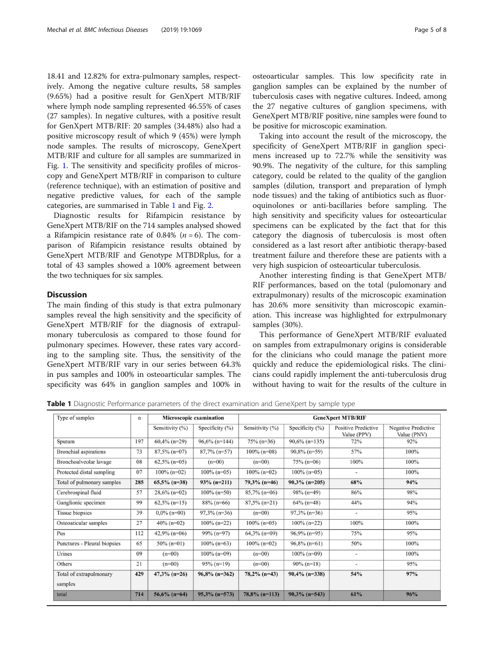18.41 and 12.82% for extra-pulmonary samples, respectively. Among the negative culture results, 58 samples (9.65%) had a positive result for GenXpert MTB/RIF where lymph node sampling represented 46.55% of cases (27 samples). In negative cultures, with a positive result for GenXpert MTB/RIF: 20 samples (34.48%) also had a positive microscopy result of which 9 (45%) were lymph node samples. The results of microscopy, GeneXpert MTB/RIF and culture for all samples are summarized in Fig. [1.](#page-3-0) The sensitivity and specificity profiles of microscopy and GeneXpert MTB/RIF in comparison to culture (reference technique), with an estimation of positive and negative predictive values, for each of the sample categories, are summarised in Table 1 and Fig. [2](#page-5-0).

Diagnostic results for Rifampicin resistance by GeneXpert MTB/RIF on the 714 samples analysed showed a Rifampicin resistance rate of 0.84% ( $n = 6$ ). The comparison of Rifampicin resistance results obtained by GeneXpert MTB/RIF and Genotype MTBDRplus, for a total of 43 samples showed a 100% agreement between the two techniques for six samples.

#### **Discussion**

The main finding of this study is that extra pulmonary samples reveal the high sensitivity and the specificity of GeneXpert MTB/RIF for the diagnosis of extrapulmonary tuberculosis as compared to those found for pulmonary specimes. However, these rates vary according to the sampling site. Thus, the sensitivity of the GeneXpert MTB/RIF vary in our series between 64.3% in pus samples and 100% in osteoarticular samples. The specificity was 64% in ganglion samples and 100% in

osteoarticular samples. This low specificity rate in ganglion samples can be explained by the number of tuberculosis cases with negative cultures. Indeed, among the 27 negative cultures of ganglion specimens, with GeneXpert MTB/RIF positive, nine samples were found to be positive for microscopic examination.

Taking into account the result of the microscopy, the specificity of GeneXpert MTB/RIF in ganglion specimens increased up to 72.7% while the sensitivity was 90.9%. The negativity of the culture, for this sampling category, could be related to the quality of the ganglion samples (dilution, transport and preparation of lymph node tissues) and the taking of antibiotics such as fluoroquinolones or anti-bacillaries before sampling. The high sensitivity and specificity values for osteoarticular specimens can be explicated by the fact that for this category the diagnosis of tuberculosis is most often considered as a last resort after antibiotic therapy-based treatment failure and therefore these are patients with a very high suspicion of osteoarticular tuberculosis.

Another interesting finding is that GeneXpert MTB/ RIF performances, based on the total (pulomonary and extrapulmonary) results of the microscopic examination has 20.6% more sensitivity than microscopic examination. This increase was highlighted for extrpulmonary samples (30%).

This performance of GeneXpert MTB/RIF evaluated on samples from extrapulmonary origins is considerable for the clinicians who could manage the patient more quickly and reduce the epidemiological risks. The clinicians could rapidly implement the anti-tuberculosis drug without having to wait for the results of the culture in

Table 1 Diagnostic Performance parameters of the direct examination and GeneXpert by sample type

| Type of samples              | n   | Microscopic examination |                    | <b>GeneXpert MTB/RIF</b> |                    |                                           |                                           |
|------------------------------|-----|-------------------------|--------------------|--------------------------|--------------------|-------------------------------------------|-------------------------------------------|
|                              |     | Sensitivity (%)         | Specificity $(\%)$ | Sensitivity (%)          | Specificity $(\%)$ | <b>Positive Predictive</b><br>Value (PPV) | <b>Negative Predictive</b><br>Value (PNV) |
| Sputum                       | 197 | $60,4\%$ (n=29)         | $96,6\%$ (n=144)   | $75\%$ (n=36)            | $90,6\%$ (n=135)   | 72%                                       | 92%                                       |
| <b>Bronchial</b> aspirations | 73  | $87,5\%$ (n=07)         | $87,7\%$ (n=57)    | $100\%$ (n=08)           | $90,8\%$ (n=59)    | 57%                                       | 100%                                      |
| Bronchoalveolar lavage       | 08  | $62,5\%$ (n=05)         | $(n=00)$           | $(n=00)$                 | $75\%$ (n=06)      | 100%                                      | 100%                                      |
| Protected distal sampling    | 07  | $100\%$ (n=02)          | $100\%$ (n=05)     | $100\%$ (n=02)           | $100\%$ (n=05)     | $\overline{\phantom{a}}$                  | 100%                                      |
| Total of pulmonary samples   | 285 | $65,5\%$ (n=38)         | $93\%$ (n=211)     | $79,3\%$ (n=46)          | $90.3\%$ (n=205)   | 68%                                       | 94%                                       |
| Cerebrospinal fluid          | 57  | $28,6\%$ (n=02)         | $100\%$ (n=50)     | $85,7\%$ (n=06)          | $98\%$ (n=49)      | 86%                                       | 98%                                       |
| Ganglionic specimen          | 99  | $62,5\%$ (n=15)         | $88\%$ (n=66)      | $87,5\%$ (n=21)          | $64\%$ (n=48)      | 44%                                       | 94%                                       |
| <b>Tissue</b> biopsies       | 39  | $0.0\%$ (n=00)          | $97,3\%$ (n=36)    | $(n=00)$                 | $97,3\%$ (n=36)    | $\overline{\phantom{a}}$                  | 95%                                       |
| Osteoaticular samples        | 27  | $40\%$ (n=02)           | $100\%$ (n=22)     | $100\%$ (n=05)           | $100\%$ (n=22)     | 100%                                      | 100%                                      |
| Pus                          | 112 | $42,9\%$ (n=06)         | $99\%$ (n=97)      | $64,3\%$ (n=09)          | $96,9\%$ (n=95)    | 75%                                       | 95%                                       |
| Punctures - Pleural biopsies | 65  | $50\%$ (n=01)           | $100\%$ (n=63)     | $100\%$ (n=02)           | $96,8\%$ (n=61)    | 50%                                       | 100%                                      |
| Urines                       | 09  | $(n=00)$                | $100\%$ (n=09)     | $(n=00)$                 | $100\%$ (n=09)     | $\qquad \qquad \blacksquare$              | 100%                                      |
| Others                       | 21  | $(n=00)$                | $95\%$ (n=19)      | $(n=00)$                 | $90\%$ (n=18)      |                                           | 95%                                       |
| Total of extrapulmonary      | 429 | $47,3\%$ (n=26)         | $96,8\%$ (n=362)   | $78,2\%$ (n=43)          | $90,4\%$ (n=338)   | 54%                                       | 97%                                       |
| samples                      |     |                         |                    |                          |                    |                                           |                                           |
| total                        | 714 | $56.6\%$ (n=64)         | $95.3\%$ (n=573)   | $78,8\%$ (n=113)         | $90.3\%$ (n=543)   | 61%                                       | 96%                                       |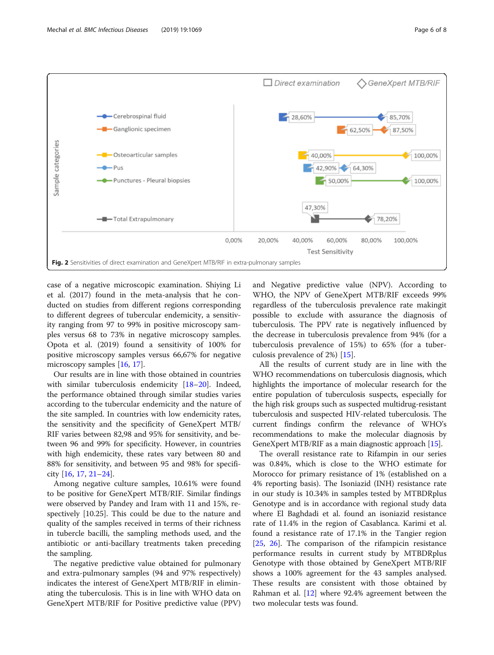<span id="page-5-0"></span>

case of a negative microscopic examination. Shiying Li et al. (2017) found in the meta-analysis that he conducted on studies from different regions corresponding to different degrees of tubercular endemicity, a sensitivity ranging from 97 to 99% in positive microscopy samples versus 68 to 73% in negative microscopy samples. Opota et al. (2019) found a sensitivity of 100% for positive microscopy samples versus 66,67% for negative microscopy samples [[16,](#page-7-0) [17\]](#page-7-0).

Our results are in line with those obtained in countries with similar tuberculosis endemicity [[18](#page-7-0)–[20](#page-7-0)]. Indeed, the performance obtained through similar studies varies according to the tubercular endemicity and the nature of the site sampled. In countries with low endemicity rates, the sensitivity and the specificity of GeneXpert MTB/ RIF varies between 82,98 and 95% for sensitivity, and between 96 and 99% for specificity. However, in countries with high endemicity, these rates vary between 80 and 88% for sensitivity, and between 95 and 98% for specificity [\[16](#page-7-0), [17](#page-7-0), [21](#page-7-0)–[24\]](#page-7-0).

Among negative culture samples, 10.61% were found to be positive for GeneXpert MTB/RIF. Similar findings were observed by Pandey and Iram with 11 and 15%, respectively [10.25]. This could be due to the nature and quality of the samples received in terms of their richness in tubercle bacilli, the sampling methods used, and the antibiotic or anti-bacillary treatments taken preceding the sampling.

The negative predictive value obtained for pulmonary and extra-pulmonary samples (94 and 97% respectively) indicates the interest of GeneXpert MTB/RIF in eliminating the tuberculosis. This is in line with WHO data on GeneXpert MTB/RIF for Positive predictive value (PPV) and Negative predictive value (NPV). According to WHO, the NPV of GeneXpert MTB/RIF exceeds 99% regardless of the tuberculosis prevalence rate makingit possible to exclude with assurance the diagnosis of tuberculosis. The PPV rate is negatively influenced by the decrease in tuberculosis prevalence from 94% (for a tuberculosis prevalence of 15%) to 65% (for a tuberculosis prevalence of 2%) [\[15](#page-7-0)].

All the results of current study are in line with the WHO recommendations on tuberculosis diagnosis, which highlights the importance of molecular research for the entire population of tuberculosis suspects, especially for the high risk groups such as suspected multidrug-resistant tuberculosis and suspected HIV-related tuberculosis. The current findings confirm the relevance of WHO's recommendations to make the molecular diagnosis by GeneXpert MTB/RIF as a main diagnostic approach [\[15\]](#page-7-0).

The overall resistance rate to Rifampin in our series was 0.84%, which is close to the WHO estimate for Morocco for primary resistance of 1% (established on a 4% reporting basis). The Isoniazid (INH) resistance rate in our study is 10.34% in samples tested by MTBDRplus Genotype and is in accordance with regional study data where El Baghdadi et al. found an isoniazid resistance rate of 11.4% in the region of Casablanca. Karimi et al. found a resistance rate of 17.1% in the Tangier region [[25,](#page-7-0) [26\]](#page-7-0). The comparison of the rifampicin resistance performance results in current study by MTBDRplus Genotype with those obtained by GeneXpert MTB/RIF shows a 100% agreement for the 43 samples analysed. These results are consistent with those obtained by Rahman et al. [\[12](#page-7-0)] where 92.4% agreement between the two molecular tests was found.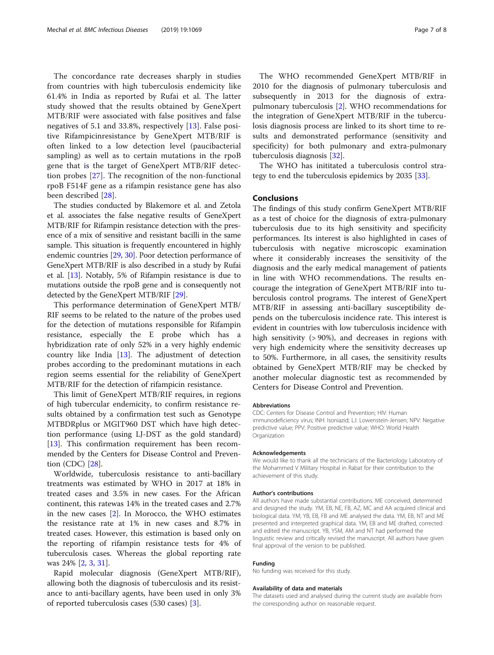The concordance rate decreases sharply in studies from countries with high tuberculosis endemicity like 61.4% in India as reported by Rufai et al. The latter study showed that the results obtained by GeneXpert MTB/RIF were associated with false positives and false negatives of 5.1 and 33.8%, respectively [[13](#page-7-0)]. False positive Rifampicinresistance by GeneXpert MTB/RIF is often linked to a low detection level (paucibacterial sampling) as well as to certain mutations in the rpoB gene that is the target of GeneXpert MTB/RIF detection probes [[27](#page-7-0)]. The recognition of the non-functional rpoB F514F gene as a rifampin resistance gene has also been described [[28](#page-7-0)].

The studies conducted by Blakemore et al. and Zetola et al. associates the false negative results of GeneXpert MTB/RIF for Rifampin resistance detection with the presence of a mix of sensitive and resistant bacilli in the same sample. This situation is frequently encountered in highly endemic countries [\[29,](#page-7-0) [30](#page-7-0)]. Poor detection performance of GeneXpert MTB/RIF is also described in a study by Rufai et al. [\[13](#page-7-0)]. Notably, 5% of Rifampin resistance is due to mutations outside the rpoB gene and is consequently not detected by the GeneXpert MTB/RIF [\[29\]](#page-7-0).

This performance determination of GeneXpert MTB/ RIF seems to be related to the nature of the probes used for the detection of mutations responsible for Rifampin resistance, especially the E probe which has a hybridization rate of only 52% in a very highly endemic country like India  $[13]$  $[13]$ . The adjustment of detection probes according to the predominant mutations in each region seems essential for the reliability of GeneXpert MTB/RIF for the detection of rifampicin resistance.

This limit of GeneXpert MTB/RIF requires, in regions of high tubercular endemicity, to confirm resistance results obtained by a confirmation test such as Genotype MTBDRplus or MGIT960 DST which have high detection performance (using LJ-DST as the gold standard) [[13\]](#page-7-0). This confirmation requirement has been recommended by the Centers for Disease Control and Prevention (CDC) [[28\]](#page-7-0).

Worldwide, tuberculosis resistance to anti-bacillary treatments was estimated by WHO in 2017 at 18% in treated cases and 3.5% in new cases. For the African continent, this ratewas 14% in the treated cases and 2.7% in the new cases [\[2](#page-7-0)]. In Morocco, the WHO estimates the resistance rate at 1% in new cases and 8.7% in treated cases. However, this estimation is based only on the reporting of rifampin resistance tests for 4% of tuberculosis cases. Whereas the global reporting rate was 24% [\[2](#page-7-0), [3](#page-7-0), [31](#page-7-0)].

Rapid molecular diagnosis (GeneXpert MTB/RIF), allowing both the diagnosis of tuberculosis and its resistance to anti-bacillary agents, have been used in only 3% of reported tuberculosis cases (530 cases) [\[3](#page-7-0)].

The WHO recommended GeneXpert MTB/RIF in 2010 for the diagnosis of pulmonary tuberculosis and subsequently in 2013 for the diagnosis of extrapulmonary tuberculosis [\[2\]](#page-7-0). WHO recommendations for the integration of GeneXpert MTB/RIF in the tuberculosis diagnosis process are linked to its short time to results and demonstrated performance (sensitivity and specificity) for both pulmonary and extra-pulmonary tuberculosis diagnosis [\[32](#page-7-0)].

The WHO has inititated a tuberculosis control strategy to end the tuberculosis epidemics by 2035 [\[33](#page-7-0)].

## **Conclusions**

The findings of this study confirm GeneXpert MTB/RIF as a test of choice for the diagnosis of extra-pulmonary tuberculosis due to its high sensitivity and specificity performances. Its interest is also highlighted in cases of tuberculosis with negative microscopic examination where it considerably increases the sensitivity of the diagnosis and the early medical management of patients in line with WHO recommendations. The results encourage the integration of GeneXpert MTB/RIF into tuberculosis control programs. The interest of GeneXpert MTB/RIF in assessing anti-bacillary susceptibility depends on the tuberculosis incidence rate. This interest is evident in countries with low tuberculosis incidence with high sensitivity (> 90%), and decreases in regions with very high endemicity where the sensitivity decreases up to 50%. Furthermore, in all cases, the sensitivity results obtained by GeneXpert MTB/RIF may be checked by another molecular diagnostic test as recommended by Centers for Disease Control and Prevention.

#### Abbreviations

CDC: Centers for Disease Control and Prevention; HIV: Human immunodeficiency virus; INH: Isoniazid; LJ: Lowenstein-Jensen; NPV: Negative predictive value; PPV: Positive predictive value; WHO: World Health Organization

#### Acknowledgements

We would like to thank all the technicians of the Bacteriology Laboratory of the Mohammed V Military Hospital in Rabat for their contribution to the achievement of this study.

#### Author's contributions

All authors have made substantial contributions. ME conceived, determined and designed the study. YM, EB, NE, FB, AZ, MC and AA acquired clinical and biological data. YM, YB, EB, FB and ME analysed the data. YM, EB, NT and ME presented and interpreted graphical data. YM, EB and ME drafted, corrected and edited the manuscript. YB, YSM, AM and NT had performed the linguistic review and critically revised the manuscript. All authors have given final approval of the version to be published.

#### Funding

No funding was received for this study.

#### Availability of data and materials

The datasets used and analysed during the current study are available from the corresponding author on reasonable request.